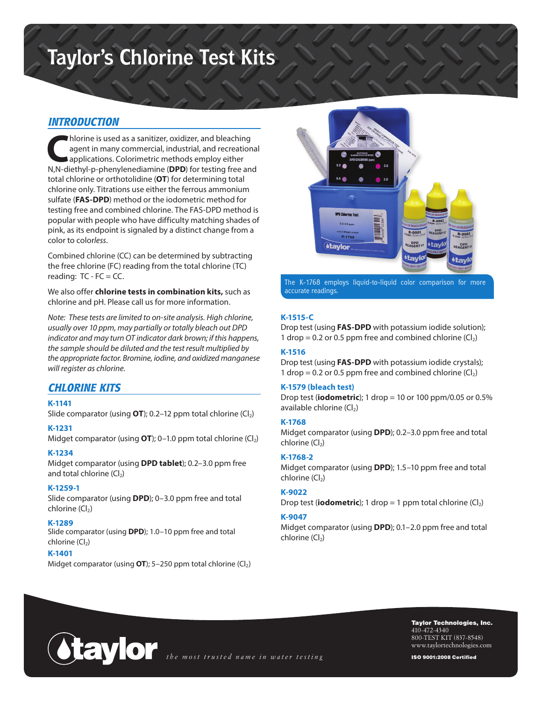# **Taylor's Chlorine Test Kits**

# *INTRODUCTION*

**C**hlorine is used as a sanitizer, oxidizer, and bleaching agent in many commercial, industrial, and recreational applications. Colorimetric methods employ either N,N-diethyl-p-phenylenediamine (**DPD**) for testing free and total chlorine or orthotolidine (**OT**) for determining total chlorine only. Titrations use either the ferrous ammonium sulfate (**FAS-DPD**) method or the iodometric method for testing free and combined chlorine. The FAS-DPD method is popular with people who have difficulty matching shades of pink, as its endpoint is signaled by a distinct change from a color to color*less*.

Combined chlorine (CC) can be determined by subtracting the free chlorine (FC) reading from the total chlorine (TC) reading:  $TC$  -  $FC$  =  $CC$ .

We also offer **chlorine tests in combination kits,** such as chlorine and pH. Please call us for more information.

*Note: These tests are limited to on-site analysis. High chlorine, usually over 10 ppm, may partially or totally bleach out DPD indicator and may turn OT indicator dark brown; if this happens, the sample should be diluted and the test result multiplied by the appropriate factor. Bromine, iodine, and oxidized manganese will register as chlorine.*

# *CHLORINE KITS*

#### **K-1141**

Slide comparator (using  $OT$ ); 0.2–12 ppm total chlorine  $(Cl<sub>2</sub>)$ 

#### **K-1231**

Midget comparator (using **OT**); 0-1.0 ppm total chlorine (Cl<sub>2</sub>)

#### **K-1234**

Midget comparator (using **DPD tablet**); 0.2–3.0 ppm free and total chlorine  $(Cl<sub>2</sub>)$ 

## **K-1259-1**

Slide comparator (using **DPD**); 0–3.0 ppm free and total chlorine  $(Cl<sub>2</sub>)$ 

#### **K-1289**

Slide comparator (using **DPD**); 1.0–10 ppm free and total  $chlorine (Cl<sub>2</sub>)$ 

## **K-1401**

Midget comparator (using **OT**); 5-250 ppm total chlorine (Cl<sub>2</sub>)



The K-1768 employs liquid-to-liquid color comparison for more accurate readings.

## **K-1515-C**

Drop test (using **FAS-DPD** with potassium iodide solution); 1 drop = 0.2 or 0.5 ppm free and combined chlorine  $(Cl<sub>2</sub>)$ 

## **K-1516**

Drop test (using **FAS-DPD** with potassium iodide crystals); 1 drop = 0.2 or 0.5 ppm free and combined chlorine  $(Cl<sub>2</sub>)$ 

#### **K-1579 (bleach test)**

Drop test (**iodometric**); 1 drop = 10 or 100 ppm/0.05 or 0.5% available chlorine  $(Cl<sub>2</sub>)$ 

#### **K-1768**

Midget comparator (using **DPD**); 0.2–3.0 ppm free and total  $chlorine (Cl<sub>2</sub>)$ 

## **K-1768-2**

Midget comparator (using **DPD**); 1.5–10 ppm free and total  $chlorine (Cl<sub>2</sub>)$ 

## **K-9022**

Drop test (**iodometric**); 1 drop = 1 ppm total chlorine  $(Cl<sub>2</sub>)$ 

#### **K-9047**

Midget comparator (using **DPD**); 0.1–2.0 ppm free and total  $chlorine (Cl<sub>2</sub>)$ 



Taylor Technologies, Inc. 410-472-4340 800-TEST KIT (837-8548) www.taylortechnologies.com

ISO 9001:2008 Certified